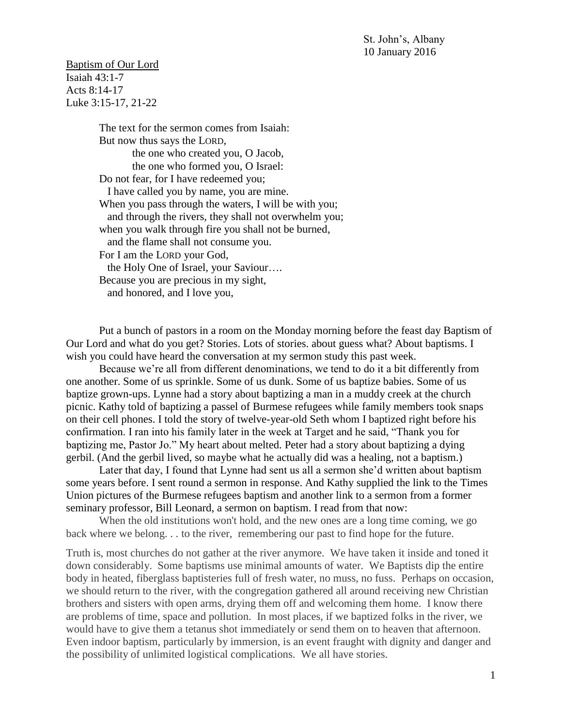St. John's, Albany 10 January 2016

Baptism of Our Lord Isaiah 43:1-7 Acts 8:14-17 Luke 3:15-17, 21-22

> The text for the sermon comes from Isaiah: But now thus says the LORD, the one who created you, O Jacob, the one who formed you, O Israel: Do not fear, for I have redeemed you; I have called you by name, you are mine. When you pass through the waters, I will be with you; and through the rivers, they shall not overwhelm you; when you walk through fire you shall not be burned, and the flame shall not consume you. For I am the LORD your God, the Holy One of Israel, your Saviour…. Because you are precious in my sight, and honored, and I love you,

Put a bunch of pastors in a room on the Monday morning before the feast day Baptism of Our Lord and what do you get? Stories. Lots of stories. about guess what? About baptisms. I wish you could have heard the conversation at my sermon study this past week.

Because we're all from different denominations, we tend to do it a bit differently from one another. Some of us sprinkle. Some of us dunk. Some of us baptize babies. Some of us baptize grown-ups. Lynne had a story about baptizing a man in a muddy creek at the church picnic. Kathy told of baptizing a passel of Burmese refugees while family members took snaps on their cell phones. I told the story of twelve-year-old Seth whom I baptized right before his confirmation. I ran into his family later in the week at Target and he said, "Thank you for baptizing me, Pastor Jo." My heart about melted. Peter had a story about baptizing a dying gerbil. (And the gerbil lived, so maybe what he actually did was a healing, not a baptism.)

Later that day, I found that Lynne had sent us all a sermon she'd written about baptism some years before. I sent round a sermon in response. And Kathy supplied the link to the Times Union pictures of the Burmese refugees baptism and another link to a sermon from a former seminary professor, Bill Leonard, a sermon on baptism. I read from that now:

When the old institutions won't hold, and the new ones are a long time coming, we go back where we belong. . . to the river, remembering our past to find hope for the future.

Truth is, most churches do not gather at the river anymore. We have taken it inside and toned it down considerably. Some baptisms use minimal amounts of water. We Baptists dip the entire body in heated, fiberglass baptisteries full of fresh water, no muss, no fuss. Perhaps on occasion, we should return to the river, with the congregation gathered all around receiving new Christian brothers and sisters with open arms, drying them off and welcoming them home. I know there are problems of time, space and pollution. In most places, if we baptized folks in the river, we would have to give them a tetanus shot immediately or send them on to heaven that afternoon. Even indoor baptism, particularly by immersion, is an event fraught with dignity and danger and the possibility of unlimited logistical complications. We all have stories.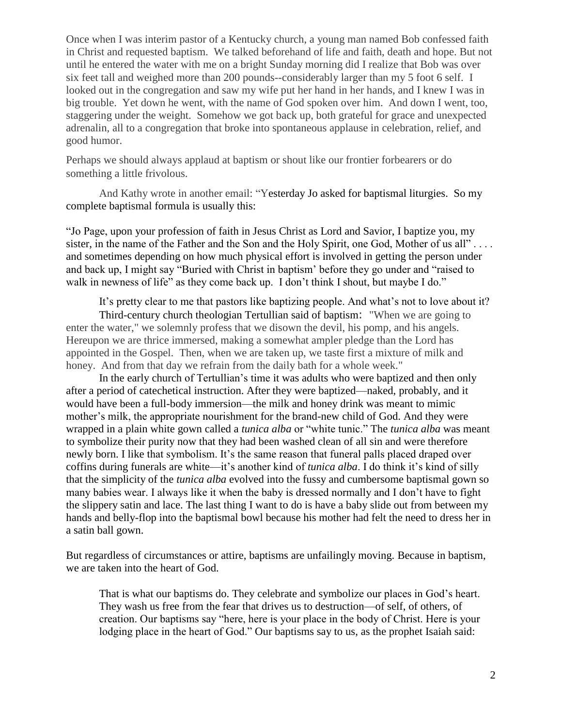Once when I was interim pastor of a Kentucky church, a young man named Bob confessed faith in Christ and requested baptism. We talked beforehand of life and faith, death and hope. But not until he entered the water with me on a bright Sunday morning did I realize that Bob was over six feet tall and weighed more than 200 pounds--considerably larger than my 5 foot 6 self. I looked out in the congregation and saw my wife put her hand in her hands, and I knew I was in big trouble. Yet down he went, with the name of God spoken over him. And down I went, too, staggering under the weight. Somehow we got back up, both grateful for grace and unexpected adrenalin, all to a congregation that broke into spontaneous applause in celebration, relief, and good humor.

Perhaps we should always applaud at baptism or shout like our frontier forbearers or do something a little frivolous.

And Kathy wrote in another email: "Yesterday Jo asked for baptismal liturgies. So my complete baptismal formula is usually this:

"Jo Page, upon your profession of faith in Jesus Christ as Lord and Savior, I baptize you, my sister, in the name of the Father and the Son and the Holy Spirit, one God, Mother of us all".... and sometimes depending on how much physical effort is involved in getting the person under and back up, I might say "Buried with Christ in baptism' before they go under and "raised to walk in newness of life" as they come back up. I don't think I shout, but maybe I do."

It's pretty clear to me that pastors like baptizing people. And what's not to love about it?

Third-century church theologian Tertullian said of baptism: "When we are going to enter the water," we solemnly profess that we disown the devil, his pomp, and his angels. Hereupon we are thrice immersed, making a somewhat ampler pledge than the Lord has appointed in the Gospel. Then, when we are taken up, we taste first a mixture of milk and honey. And from that day we refrain from the daily bath for a whole week."

In the early church of Tertullian's time it was adults who were baptized and then only after a period of catechetical instruction. After they were baptized—naked, probably, and it would have been a full-body immersion—the milk and honey drink was meant to mimic mother's milk, the appropriate nourishment for the brand-new child of God. And they were wrapped in a plain white gown called a *tunica alba* or "white tunic." The *tunica alba* was meant to symbolize their purity now that they had been washed clean of all sin and were therefore newly born. I like that symbolism. It's the same reason that funeral palls placed draped over coffins during funerals are white—it's another kind of *tunica alba*. I do think it's kind of silly that the simplicity of the *tunica alba* evolved into the fussy and cumbersome baptismal gown so many babies wear. I always like it when the baby is dressed normally and I don't have to fight the slippery satin and lace. The last thing I want to do is have a baby slide out from between my hands and belly-flop into the baptismal bowl because his mother had felt the need to dress her in a satin ball gown.

But regardless of circumstances or attire, baptisms are unfailingly moving. Because in baptism, we are taken into the heart of God.

That is what our baptisms do. They celebrate and symbolize our places in God's heart. They wash us free from the fear that drives us to destruction—of self, of others, of creation. Our baptisms say "here, here is your place in the body of Christ. Here is your lodging place in the heart of God." Our baptisms say to us, as the prophet Isaiah said: